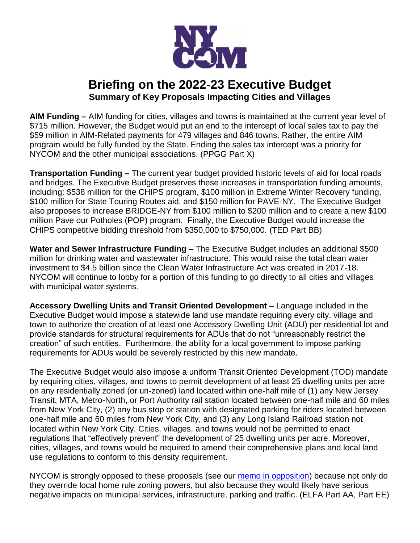

## **Briefing on the 2022-23 Executive Budget Summary of Key Proposals Impacting Cities and Villages**

**AIM Funding –** AIM funding for cities, villages and towns is maintained at the current year level of \$715 million. However, the Budget would put an end to the intercept of local sales tax to pay the \$59 million in AIM-Related payments for 479 villages and 846 towns. Rather, the entire AIM program would be fully funded by the State. Ending the sales tax intercept was a priority for NYCOM and the other municipal associations. (PPGG Part X)

**Transportation Funding –** The current year budget provided historic levels of aid for local roads and bridges. The Executive Budget preserves these increases in transportation funding amounts, including: \$538 million for the CHIPS program, \$100 million in Extreme Winter Recovery funding, \$100 million for State Touring Routes aid, and \$150 million for PAVE-NY. The Executive Budget also proposes to increase BRIDGE-NY from \$100 million to \$200 million and to create a new \$100 million Pave our Potholes (POP) program. Finally, the Executive Budget would increase the CHIPS competitive bidding threshold from \$350,000 to \$750,000. (TED Part BB)

**Water and Sewer Infrastructure Funding –** The Executive Budget includes an additional \$500 million for drinking water and wastewater infrastructure. This would raise the total clean water investment to \$4.5 billion since the Clean Water Infrastructure Act was created in 2017-18. NYCOM will continue to lobby for a portion of this funding to go directly to all cities and villages with municipal water systems.

**Accessory Dwelling Units and Transit Oriented Development –** Language included in the Executive Budget would impose a statewide land use mandate requiring every city, village and town to authorize the creation of at least one Accessory Dwelling Unit (ADU) per residential lot and provide standards for structural requirements for ADUs that do not "unreasonably restrict the creation" of such entities. Furthermore, the ability for a local government to impose parking requirements for ADUs would be severely restricted by this new mandate.

The Executive Budget would also impose a uniform Transit Oriented Development (TOD) mandate by requiring cities, villages, and towns to permit development of at least 25 dwelling units per acre on any residentially zoned (or un-zoned) land located within one-half mile of (1) any New Jersey Transit, MTA, Metro-North, or Port Authority rail station located between one-half mile and 60 miles from New York City, (2) any bus stop or station with designated parking for riders located between one-half mile and 60 miles from New York City, and (3) any Long Island Railroad station not located within New York City. Cities, villages, and towns would not be permitted to enact regulations that "effectively prevent" the development of 25 dwelling units per acre. Moreover, cities, villages, and towns would be required to amend their comprehensive plans and local land use regulations to conform to this density requirement.

NYCOM is strongly opposed to these proposals (see our [memo in opposition\)](https://www.nycom.org/images/Memo_in_Opp_ADU_and_TOD.pdf) because not only do they override local home rule zoning powers, but also because they would likely have serious negative impacts on municipal services, infrastructure, parking and traffic. (ELFA Part AA, Part EE)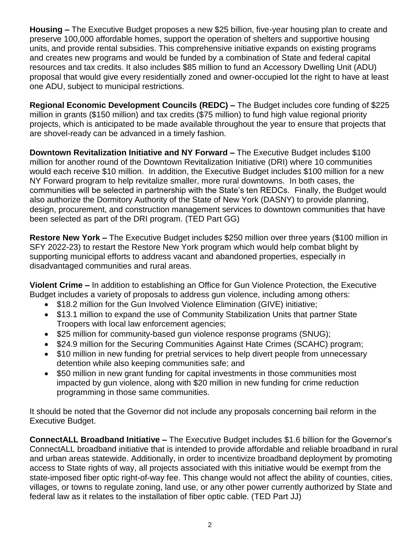**Housing –** The Executive Budget proposes a new \$25 billion, five-year housing plan to create and preserve 100,000 affordable homes, support the operation of shelters and supportive housing units, and provide rental subsidies. This comprehensive initiative expands on existing programs and creates new programs and would be funded by a combination of State and federal capital resources and tax credits. It also includes \$85 million to fund an Accessory Dwelling Unit (ADU) proposal that would give every residentially zoned and owner-occupied lot the right to have at least one ADU, subject to municipal restrictions.

**Regional Economic Development Councils (REDC) –** The Budget includes core funding of \$225 million in grants (\$150 million) and tax credits (\$75 million) to fund high value regional priority projects, which is anticipated to be made available throughout the year to ensure that projects that are shovel-ready can be advanced in a timely fashion.

**Downtown Revitalization Initiative and NY Forward –** The Executive Budget includes \$100 million for another round of the Downtown Revitalization Initiative (DRI) where 10 communities would each receive \$10 million. In addition, the Executive Budget includes \$100 million for a new NY Forward program to help revitalize smaller, more rural downtowns. In both cases, the communities will be selected in partnership with the State's ten REDCs. Finally, the Budget would also authorize the Dormitory Authority of the State of New York (DASNY) to provide planning, design, procurement, and construction management services to downtown communities that have been selected as part of the DRI program. (TED Part GG)

**Restore New York –** The Executive Budget includes \$250 million over three years (\$100 million in SFY 2022-23) to restart the Restore New York program which would help combat blight by supporting municipal efforts to address vacant and abandoned properties, especially in disadvantaged communities and rural areas.

**Violent Crime –** In addition to establishing an Office for Gun Violence Protection, the Executive Budget includes a variety of proposals to address gun violence, including among others:

- \$18.2 million for the Gun Involved Violence Elimination (GIVE) initiative;
- \$13.1 million to expand the use of Community Stabilization Units that partner State Troopers with local law enforcement agencies;
- \$25 million for community-based gun violence response programs (SNUG);
- \$24.9 million for the Securing Communities Against Hate Crimes (SCAHC) program;
- \$10 million in new funding for pretrial services to help divert people from unnecessary detention while also keeping communities safe; and
- \$50 million in new grant funding for capital investments in those communities most impacted by gun violence, along with \$20 million in new funding for crime reduction programming in those same communities.

It should be noted that the Governor did not include any proposals concerning bail reform in the Executive Budget.

**ConnectALL Broadband Initiative –** The Executive Budget includes \$1.6 billion for the Governor's ConnectALL broadband initiative that is intended to provide affordable and reliable broadband in rural and urban areas statewide. Additionally, in order to incentivize broadband deployment by promoting access to State rights of way, all projects associated with this initiative would be exempt from the state-imposed fiber optic right-of-way fee. This change would not affect the ability of counties, cities, villages, or towns to regulate zoning, land use, or any other power currently authorized by State and federal law as it relates to the installation of fiber optic cable. (TED Part JJ)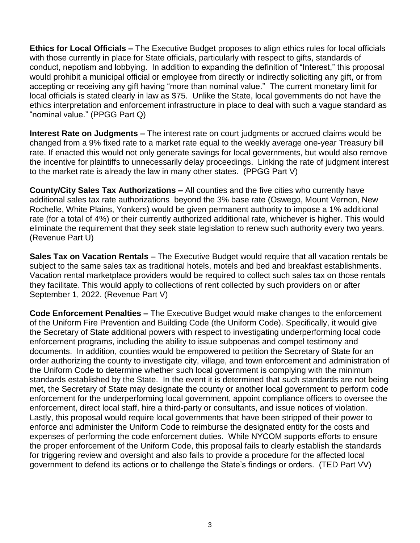**Ethics for Local Officials –** The Executive Budget proposes to align ethics rules for local officials with those currently in place for State officials, particularly with respect to gifts, standards of conduct, nepotism and lobbying. In addition to expanding the definition of "Interest," this proposal would prohibit a municipal official or employee from directly or indirectly soliciting any gift, or from accepting or receiving any gift having "more than nominal value." The current monetary limit for local officials is stated clearly in law as \$75. Unlike the State, local governments do not have the ethics interpretation and enforcement infrastructure in place to deal with such a vague standard as "nominal value." (PPGG Part Q)

**Interest Rate on Judgments –** The interest rate on court judgments or accrued claims would be changed from a 9% fixed rate to a market rate equal to the weekly average one-year Treasury bill rate. If enacted this would not only generate savings for local governments, but would also remove the incentive for plaintiffs to unnecessarily delay proceedings. Linking the rate of judgment interest to the market rate is already the law in many other states. (PPGG Part V)

**County/City Sales Tax Authorizations –** All counties and the five cities who currently have additional sales tax rate authorizations beyond the 3% base rate (Oswego, Mount Vernon, New Rochelle, White Plains, Yonkers) would be given permanent authority to impose a 1% additional rate (for a total of 4%) or their currently authorized additional rate, whichever is higher. This would eliminate the requirement that they seek state legislation to renew such authority every two years. (Revenue Part U)

**Sales Tax on Vacation Rentals –** The Executive Budget would require that all vacation rentals be subject to the same sales tax as traditional hotels, motels and bed and breakfast establishments. Vacation rental marketplace providers would be required to collect such sales tax on those rentals they facilitate. This would apply to collections of rent collected by such providers on or after September 1, 2022. (Revenue Part V)

**Code Enforcement Penalties –** The Executive Budget would make changes to the enforcement of the Uniform Fire Prevention and Building Code (the Uniform Code). Specifically, it would give the Secretary of State additional powers with respect to investigating underperforming local code enforcement programs, including the ability to issue subpoenas and compel testimony and documents. In addition, counties would be empowered to petition the Secretary of State for an order authorizing the county to investigate city, village, and town enforcement and administration of the Uniform Code to determine whether such local government is complying with the minimum standards established by the State. In the event it is determined that such standards are not being met, the Secretary of State may designate the county or another local government to perform code enforcement for the underperforming local government, appoint compliance officers to oversee the enforcement, direct local staff, hire a third-party or consultants, and issue notices of violation. Lastly, this proposal would require local governments that have been stripped of their power to enforce and administer the Uniform Code to reimburse the designated entity for the costs and expenses of performing the code enforcement duties. While NYCOM supports efforts to ensure the proper enforcement of the Uniform Code, this proposal fails to clearly establish the standards for triggering review and oversight and also fails to provide a procedure for the affected local government to defend its actions or to challenge the State's findings or orders. (TED Part VV)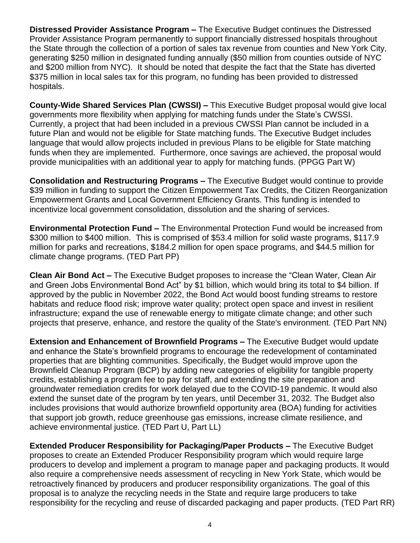**Distressed Provider Assistance Program –** The Executive Budget continues the Distressed Provider Assistance Program permanently to support financially distressed hospitals throughout the State through the collection of a portion of sales tax revenue from counties and New York City, generating \$250 million in designated funding annually (\$50 million from counties outside of NYC and \$200 million from NYC). It should be noted that despite the fact that the State has diverted \$375 million in local sales tax for this program, no funding has been provided to distressed hospitals.

**County-Wide Shared Services Plan (CWSSI) –** This Executive Budget proposal would give local governments more flexibility when applying for matching funds under the State's CWSSI. Currently, a project that had been included in a previous CWSSI Plan cannot be included in a future Plan and would not be eligible for State matching funds. The Executive Budget includes language that would allow projects included in previous Plans to be eligible for State matching funds when they are implemented. Furthermore, once savings are achieved, the proposal would provide municipalities with an additional year to apply for matching funds. (PPGG Part W)

**Consolidation and Restructuring Programs –** The Executive Budget would continue to provide \$39 million in funding to support the Citizen Empowerment Tax Credits, the Citizen Reorganization Empowerment Grants and Local Government Efficiency Grants. This funding is intended to incentivize local government consolidation, dissolution and the sharing of services.

**Environmental Protection Fund –** The Environmental Protection Fund would be increased from \$300 million to \$400 million. This is comprised of \$53.4 million for solid waste programs, \$117.9 million for parks and recreations, \$184.2 million for open space programs, and \$44.5 million for climate change programs. (TED Part PP)

**Clean Air Bond Act –** The Executive Budget proposes to increase the "Clean Water, Clean Air and Green Jobs Environmental Bond Act" by \$1 billion, which would bring its total to \$4 billion. If approved by the public in November 2022, the Bond Act would boost funding streams to restore habitats and reduce flood risk; improve water quality; protect open space and invest in resilient infrastructure; expand the use of renewable energy to mitigate climate change; and other such projects that preserve, enhance, and restore the quality of the State's environment. (TED Part NN)

**Extension and Enhancement of Brownfield Programs –** The Executive Budget would update and enhance the State's brownfield programs to encourage the redevelopment of contaminated properties that are blighting communities. Specifically, the Budget would improve upon the Brownfield Cleanup Program (BCP) by adding new categories of eligibility for tangible property credits, establishing a program fee to pay for staff, and extending the site preparation and groundwater remediation credits for work delayed due to the COVID-19 pandemic. It would also extend the sunset date of the program by ten years, until December 31, 2032. The Budget also includes provisions that would authorize brownfield opportunity area (BOA) funding for activities that support job growth, reduce greenhouse gas emissions, increase climate resilience, and achieve environmental justice. (TED Part U, Part LL)

**Extended Producer Responsibility for Packaging/Paper Products –** The Executive Budget proposes to create an Extended Producer Responsibility program which would require large producers to develop and implement a program to manage paper and packaging products. It would also require a comprehensive needs assessment of recycling in New York State, which would be retroactively financed by producers and producer responsibility organizations. The goal of this proposal is to analyze the recycling needs in the State and require large producers to take responsibility for the recycling and reuse of discarded packaging and paper products. (TED Part RR)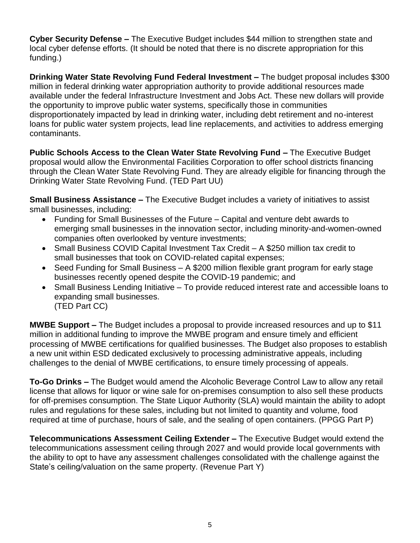**Cyber Security Defense –** The Executive Budget includes \$44 million to strengthen state and local cyber defense efforts. (It should be noted that there is no discrete appropriation for this funding.)

**Drinking Water State Revolving Fund Federal Investment –** The budget proposal includes \$300 million in federal drinking water appropriation authority to provide additional resources made available under the federal Infrastructure Investment and Jobs Act. These new dollars will provide the opportunity to improve public water systems, specifically those in communities disproportionately impacted by lead in drinking water, including debt retirement and no-interest loans for public water system projects, lead line replacements, and activities to address emerging contaminants.

**Public Schools Access to the Clean Water State Revolving Fund –** The Executive Budget proposal would allow the Environmental Facilities Corporation to offer school districts financing through the Clean Water State Revolving Fund. They are already eligible for financing through the Drinking Water State Revolving Fund. (TED Part UU)

**Small Business Assistance –** The Executive Budget includes a variety of initiatives to assist small businesses, including:

- Funding for Small Businesses of the Future Capital and venture debt awards to emerging small businesses in the innovation sector, including minority-and-women-owned companies often overlooked by venture investments;
- Small Business COVID Capital Investment Tax Credit A \$250 million tax credit to small businesses that took on COVID-related capital expenses;
- Seed Funding for Small Business A \$200 million flexible grant program for early stage businesses recently opened despite the COVID-19 pandemic; and
- Small Business Lending Initiative To provide reduced interest rate and accessible loans to expanding small businesses. (TED Part CC)

**MWBE Support –** The Budget includes a proposal to provide increased resources and up to \$11 million in additional funding to improve the MWBE program and ensure timely and efficient processing of MWBE certifications for qualified businesses. The Budget also proposes to establish a new unit within ESD dedicated exclusively to processing administrative appeals, including challenges to the denial of MWBE certifications, to ensure timely processing of appeals.

**To-Go Drinks –** The Budget would amend the Alcoholic Beverage Control Law to allow any retail license that allows for liquor or wine sale for on-premises consumption to also sell these products for off-premises consumption. The State Liquor Authority (SLA) would maintain the ability to adopt rules and regulations for these sales, including but not limited to quantity and volume, food required at time of purchase, hours of sale, and the sealing of open containers. (PPGG Part P)

**Telecommunications Assessment Ceiling Extender –** The Executive Budget would extend the telecommunications assessment ceiling through 2027 and would provide local governments with the ability to opt to have any assessment challenges consolidated with the challenge against the State's ceiling/valuation on the same property. (Revenue Part Y)